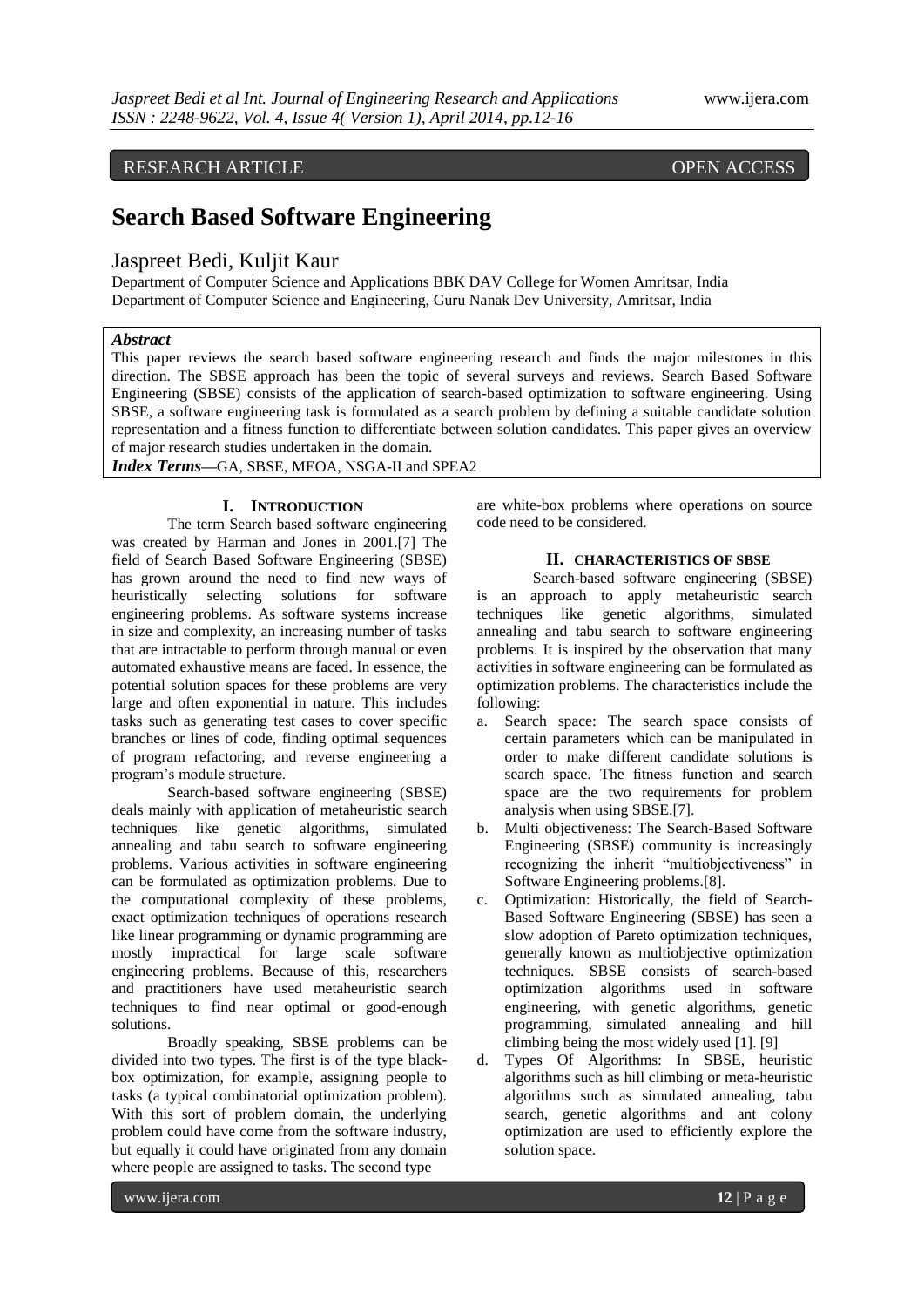# RESEARCH ARTICLE OPEN ACCESS

# **Search Based Software Engineering**

## Jaspreet Bedi, Kuljit Kaur

Department of Computer Science and Applications BBK DAV College for Women Amritsar, India Department of Computer Science and Engineering, Guru Nanak Dev University, Amritsar, India

#### *Abstract*

This paper reviews the search based software engineering research and finds the major milestones in this direction. The SBSE approach has been the topic of several surveys and reviews. Search Based Software Engineering (SBSE) consists of the application of search-based optimization to software engineering. Using SBSE, a software engineering task is formulated as a search problem by defining a suitable candidate solution representation and a fitness function to differentiate between solution candidates. This paper gives an overview of major research studies undertaken in the domain.

*Index Terms***—**GA, SBSE, MEOA, NSGA-II and SPEA2

### **I. INTRODUCTION**

The term Search based software engineering was created by Harman and Jones in 2001.[7] The field of Search Based Software Engineering (SBSE) has grown around the need to find new ways of heuristically selecting solutions for software engineering problems. As software systems increase in size and complexity, an increasing number of tasks that are intractable to perform through manual or even automated exhaustive means are faced. In essence, the potential solution spaces for these problems are very large and often exponential in nature. This includes tasks such as generating test cases to cover specific branches or lines of code, finding optimal sequences of program refactoring, and reverse engineering a program's module structure.

Search-based software engineering (SBSE) deals mainly with application of metaheuristic search techniques like genetic algorithms, simulated annealing and tabu search to software engineering problems. Various activities in software engineering can be formulated as optimization problems. Due to the computational complexity of these problems, exact optimization techniques of operations research like linear programming or dynamic programming are mostly impractical for large scale software engineering problems. Because of this, researchers and practitioners have used metaheuristic search techniques to find near optimal or good-enough solutions.

Broadly speaking, SBSE problems can be divided into two types. The first is of the type blackbox optimization, for example, assigning people to tasks (a typical combinatorial optimization problem). With this sort of problem domain, the underlying problem could have come from the software industry, but equally it could have originated from any domain where people are assigned to tasks. The second type

are white-box problems where operations on source code need to be considered.

#### **II. CHARACTERISTICS OF SBSE**

Search-based software engineering (SBSE) is an approach to apply metaheuristic search techniques like genetic algorithms, simulated annealing and tabu search to software engineering problems. It is inspired by the observation that many activities in software engineering can be formulated as optimization problems. The characteristics include the following:

- a. Search space: The search space consists of certain parameters which can be manipulated in order to make different candidate solutions is search space. The fitness function and search space are the two requirements for problem analysis when using SBSE.[7].
- b. Multi objectiveness: The Search-Based Software Engineering (SBSE) community is increasingly recognizing the inherit "multiobjectiveness" in Software Engineering problems.[8].
- c. Optimization: Historically, the field of Search-Based Software Engineering (SBSE) has seen a slow adoption of Pareto optimization techniques, generally known as multiobjective optimization techniques. SBSE consists of search-based optimization algorithms used in software engineering, with genetic algorithms, genetic programming, simulated annealing and hill climbing being the most widely used [1]. [9]
- d. Types Of Algorithms: In SBSE, heuristic algorithms such as hill climbing or meta-heuristic algorithms such as simulated annealing, tabu search, genetic algorithms and ant colony optimization are used to efficiently explore the solution space.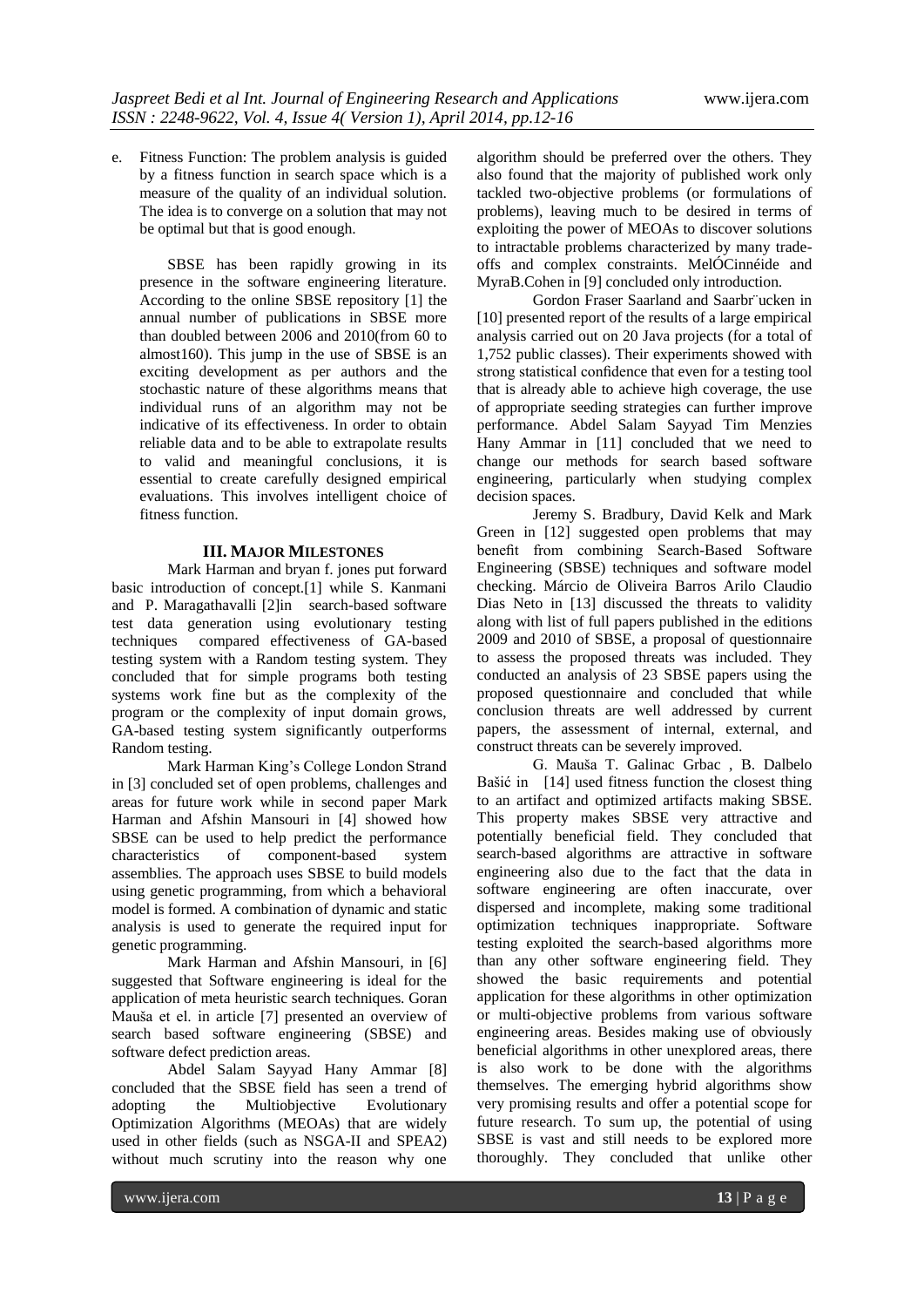e. Fitness Function: The problem analysis is guided by a fitness function in search space which is a measure of the quality of an individual solution. The idea is to converge on a solution that may not be optimal but that is good enough.

SBSE has been rapidly growing in its presence in the software engineering literature. According to the online SBSE repository [1] the annual number of publications in SBSE more than doubled between 2006 and 2010(from 60 to almost160). This jump in the use of SBSE is an exciting development as per authors and the stochastic nature of these algorithms means that individual runs of an algorithm may not be indicative of its effectiveness. In order to obtain reliable data and to be able to extrapolate results to valid and meaningful conclusions, it is essential to create carefully designed empirical evaluations. This involves intelligent choice of fitness function.

#### **III. MAJOR MILESTONES**

Mark Harman and bryan f. jones put forward basic introduction of concept.[1] while S. Kanmani and P. Maragathavalli [2]in search-based software test data generation using evolutionary testing techniques compared effectiveness of GA-based testing system with a Random testing system. They concluded that for simple programs both testing systems work fine but as the complexity of the program or the complexity of input domain grows, GA-based testing system significantly outperforms Random testing.

Mark Harman King's College London Strand in [3] concluded set of open problems, challenges and areas for future work while in second paper Mark Harman and Afshin Mansouri in [4] showed how SBSE can be used to help predict the performance characteristics of component-based system assemblies. The approach uses SBSE to build models using genetic programming, from which a behavioral model is formed. A combination of dynamic and static analysis is used to generate the required input for genetic programming.

Mark Harman and Afshin Mansouri, in [6] suggested that Software engineering is ideal for the application of meta heuristic search techniques. Goran Mauša et el. in article [7] presented an overview of search based software engineering (SBSE) and software defect prediction areas.

Abdel Salam Sayyad Hany Ammar [8] concluded that the SBSE field has seen a trend of adopting the Multiobjective Evolutionary Optimization Algorithms (MEOAs) that are widely used in other fields (such as NSGA-II and SPEA2) without much scrutiny into the reason why one

algorithm should be preferred over the others. They also found that the majority of published work only tackled two-objective problems (or formulations of problems), leaving much to be desired in terms of exploiting the power of MEOAs to discover solutions to intractable problems characterized by many tradeoffs and complex constraints. MelÓCinnéide and MyraB.Cohen in [9] concluded only introduction.

Gordon Fraser Saarland and Saarbr¨ucken in [10] presented report of the results of a large empirical analysis carried out on 20 Java projects (for a total of 1,752 public classes). Their experiments showed with strong statistical confidence that even for a testing tool that is already able to achieve high coverage, the use of appropriate seeding strategies can further improve performance. Abdel Salam Sayyad Tim Menzies Hany Ammar in [11] concluded that we need to change our methods for search based software engineering, particularly when studying complex decision spaces.

Jeremy S. Bradbury, David Kelk and Mark Green in [12] suggested open problems that may benefit from combining Search-Based Software Engineering (SBSE) techniques and software model checking. Márcio de Oliveira Barros Arilo Claudio Dias Neto in [13] discussed the threats to validity along with list of full papers published in the editions 2009 and 2010 of SBSE, a proposal of questionnaire to assess the proposed threats was included. They conducted an analysis of 23 SBSE papers using the proposed questionnaire and concluded that while conclusion threats are well addressed by current papers, the assessment of internal, external, and construct threats can be severely improved.

G. Mauša T. Galinac Grbac , B. Dalbelo Bašić in [14] used fitness function the closest thing to an artifact and optimized artifacts making SBSE. This property makes SBSE very attractive and potentially beneficial field. They concluded that search-based algorithms are attractive in software engineering also due to the fact that the data in software engineering are often inaccurate, over dispersed and incomplete, making some traditional optimization techniques inappropriate. Software testing exploited the search-based algorithms more than any other software engineering field. They showed the basic requirements and potential application for these algorithms in other optimization or multi-objective problems from various software engineering areas. Besides making use of obviously beneficial algorithms in other unexplored areas, there is also work to be done with the algorithms themselves. The emerging hybrid algorithms show very promising results and offer a potential scope for future research. To sum up, the potential of using SBSE is vast and still needs to be explored more thoroughly. They concluded that unlike other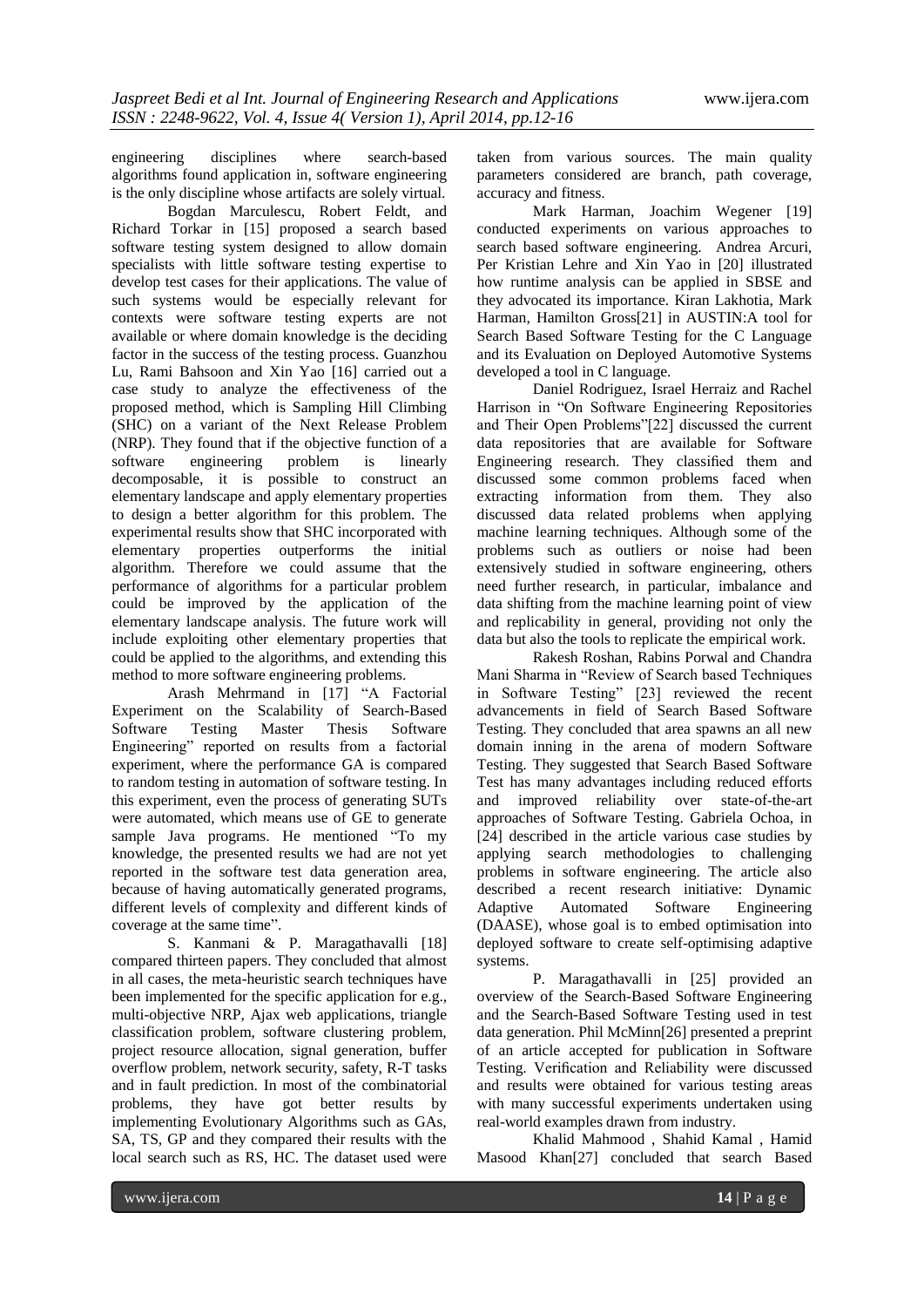engineering disciplines where search-based algorithms found application in, software engineering is the only discipline whose artifacts are solely virtual.

Bogdan Marculescu, Robert Feldt, and Richard Torkar in [15] proposed a search based software testing system designed to allow domain specialists with little software testing expertise to develop test cases for their applications. The value of such systems would be especially relevant for contexts were software testing experts are not available or where domain knowledge is the deciding factor in the success of the testing process. Guanzhou Lu, Rami Bahsoon and Xin Yao [16] carried out a case study to analyze the effectiveness of the proposed method, which is Sampling Hill Climbing (SHC) on a variant of the Next Release Problem (NRP). They found that if the objective function of a software engineering problem is linearly decomposable, it is possible to construct an elementary landscape and apply elementary properties to design a better algorithm for this problem. The experimental results show that SHC incorporated with elementary properties outperforms the initial algorithm. Therefore we could assume that the performance of algorithms for a particular problem could be improved by the application of the elementary landscape analysis. The future work will include exploiting other elementary properties that could be applied to the algorithms, and extending this method to more software engineering problems.

Arash Mehrmand in [17] "A Factorial Experiment on the Scalability of Search-Based Software Testing Master Thesis Software Engineering" reported on results from a factorial experiment, where the performance GA is compared to random testing in automation of software testing. In this experiment, even the process of generating SUTs were automated, which means use of GE to generate sample Java programs. He mentioned "To my knowledge, the presented results we had are not yet reported in the software test data generation area, because of having automatically generated programs, different levels of complexity and different kinds of coverage at the same time".

S. Kanmani & P. Maragathavalli [18] compared thirteen papers. They concluded that almost in all cases, the meta-heuristic search techniques have been implemented for the specific application for e.g., multi-objective NRP, Ajax web applications, triangle classification problem, software clustering problem, project resource allocation, signal generation, buffer overflow problem, network security, safety, R-T tasks and in fault prediction. In most of the combinatorial problems, they have got better results by implementing Evolutionary Algorithms such as GAs, SA, TS, GP and they compared their results with the local search such as RS, HC. The dataset used were

taken from various sources. The main quality parameters considered are branch, path coverage, accuracy and fitness.

Mark Harman, Joachim Wegener [19] conducted experiments on various approaches to search based software engineering. Andrea Arcuri, Per Kristian Lehre and Xin Yao in [20] illustrated how runtime analysis can be applied in SBSE and they advocated its importance. Kiran Lakhotia, Mark Harman, Hamilton Gross[21] in AUSTIN:A tool for Search Based Software Testing for the C Language and its Evaluation on Deployed Automotive Systems developed a tool in C language.

Daniel Rodriguez, Israel Herraiz and Rachel Harrison in "On Software Engineering Repositories and Their Open Problems"[22] discussed the current data repositories that are available for Software Engineering research. They classified them and discussed some common problems faced when extracting information from them. They also discussed data related problems when applying machine learning techniques. Although some of the problems such as outliers or noise had been extensively studied in software engineering, others need further research, in particular, imbalance and data shifting from the machine learning point of view and replicability in general, providing not only the data but also the tools to replicate the empirical work.

Rakesh Roshan, Rabins Porwal and Chandra Mani Sharma in "Review of Search based Techniques in Software Testing" [23] reviewed the recent advancements in field of Search Based Software Testing. They concluded that area spawns an all new domain inning in the arena of modern Software Testing. They suggested that Search Based Software Test has many advantages including reduced efforts and improved reliability over state-of-the-art approaches of Software Testing. Gabriela Ochoa, in [24] described in the article various case studies by applying search methodologies to challenging problems in software engineering. The article also described a recent research initiative: Dynamic Adaptive Automated Software Engineering (DAASE), whose goal is to embed optimisation into deployed software to create self-optimising adaptive systems.

P. Maragathavalli in [25] provided an overview of the Search-Based Software Engineering and the Search-Based Software Testing used in test data generation. Phil McMinn[26] presented a preprint of an article accepted for publication in Software Testing. Verification and Reliability were discussed and results were obtained for various testing areas with many successful experiments undertaken using real-world examples drawn from industry.

Khalid Mahmood , Shahid Kamal , Hamid Masood Khan[27] concluded that search Based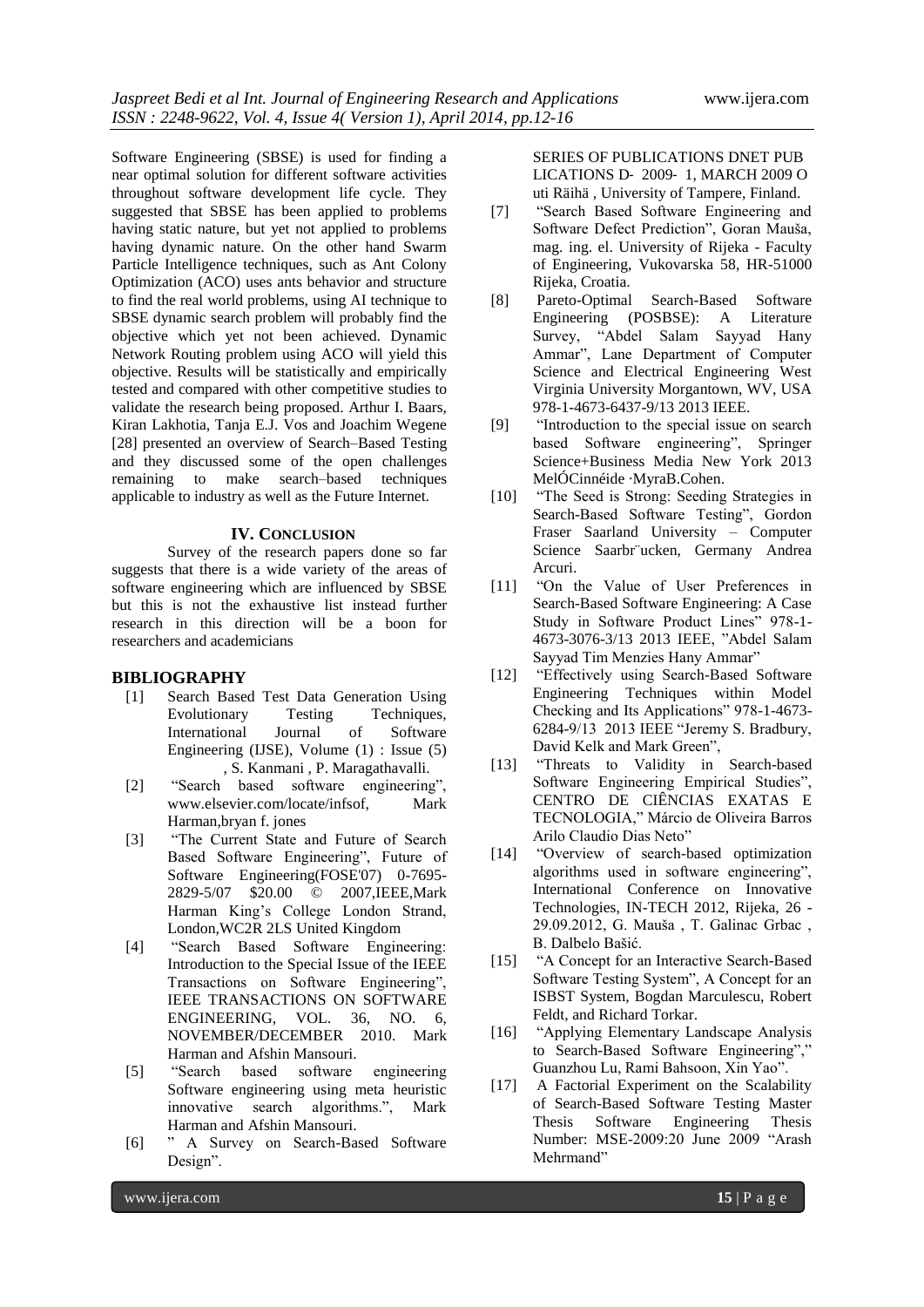Software Engineering (SBSE) is used for finding a near optimal solution for different software activities throughout software development life cycle. They suggested that SBSE has been applied to problems having static nature, but yet not applied to problems having dynamic nature. On the other hand Swarm Particle Intelligence techniques, such as Ant Colony Optimization (ACO) uses ants behavior and structure to find the real world problems, using AI technique to SBSE dynamic search problem will probably find the objective which yet not been achieved. Dynamic Network Routing problem using ACO will yield this objective. Results will be statistically and empirically tested and compared with other competitive studies to validate the research being proposed. Arthur I. Baars, Kiran Lakhotia, Tanja E.J. Vos and Joachim Wegene [28] presented an overview of Search–Based Testing and they discussed some of the open challenges remaining to make search–based techniques applicable to industry as well as the Future Internet.

#### **IV. CONCLUSION**

Survey of the research papers done so far suggests that there is a wide variety of the areas of software engineering which are influenced by SBSE but this is not the exhaustive list instead further research in this direction will be a boon for researchers and academicians

#### **BIBLIOGRAPHY**

- [1] Search Based Test Data Generation Using Evolutionary Testing Techniques, International Journal of Software Engineering (IJSE), Volume (1) : Issue (5) , S. Kanmani , P. Maragathavalli.
- [2] "Search based software engineering", www.elsevier.com/locate/infsof, Mark Harman,bryan f. jones
- [3] "The Current State and Future of Search Based Software Engineering", Future of Software Engineering(FOSE'07) 0-7695-2829-5/07 \$20.00 © 2007,IEEE,Mark Harman King's College London Strand, London,WC2R 2LS United Kingdom
- [4] "Search Based Software Engineering: Introduction to the Special Issue of the IEEE Transactions on Software Engineering", IEEE TRANSACTIONS ON SOFTWARE ENGINEERING, VOL. 36, NO. 6, NOVEMBER/DECEMBER 2010. Mark Harman and Afshin Mansouri.
- [5] "Search based software engineering Software engineering using meta heuristic innovative search algorithms.", Mark Harman and Afshin Mansouri.
- [6] " A Survey on Search-Based Software Design".

SERIES OF PUBLICATIONS DNET PUB LICATIONS D‐ 2009‐ 1, MARCH 2009 O uti Räihä , University of Tampere, Finland.

- [7] "Search Based Software Engineering and Software Defect Prediction", Goran Mauša, mag. ing. el. University of Rijeka - Faculty of Engineering, Vukovarska 58, HR-51000 Rijeka, Croatia.
- [8] Pareto-Optimal Search-Based Software Engineering (POSBSE): A Literature Survey, "Abdel Salam Sayyad Hany Ammar", Lane Department of Computer Science and Electrical Engineering West Virginia University Morgantown, WV, USA 978-1-4673-6437-9/13 2013 IEEE.
- [9] "Introduction to the special issue on search based Software engineering", Springer Science+Business Media New York 2013 MelÓCinnéide ·MyraB.Cohen.
- [10] "The Seed is Strong: Seeding Strategies in Search-Based Software Testing", Gordon Fraser Saarland University – Computer Science Saarbr¨ucken, Germany Andrea Arcuri.
- [11] "On the Value of User Preferences in Search-Based Software Engineering: A Case Study in Software Product Lines" 978-1- 4673-3076-3/13 2013 IEEE, "Abdel Salam Sayyad Tim Menzies Hany Ammar"
- [12] "Effectively using Search-Based Software Engineering Techniques within Model Checking and Its Applications" 978-1-4673- 6284-9/13 2013 IEEE "Jeremy S. Bradbury, David Kelk and Mark Green",
- [13] "Threats to Validity in Search-based Software Engineering Empirical Studies", CENTRO DE CIÊNCIAS EXATAS E TECNOLOGIA," Márcio de Oliveira Barros Arilo Claudio Dias Neto"
- [14] "Overview of search-based optimization algorithms used in software engineering", International Conference on Innovative Technologies, IN-TECH 2012, Rijeka, 26 - 29.09.2012, G. Mauša , T. Galinac Grbac , B. Dalbelo Bašić.
- [15] "A Concept for an Interactive Search-Based Software Testing System", A Concept for an ISBST System, Bogdan Marculescu, Robert Feldt, and Richard Torkar.
- [16] "Applying Elementary Landscape Analysis to Search-Based Software Engineering"," Guanzhou Lu, Rami Bahsoon, Xin Yao".
- [17] A Factorial Experiment on the Scalability of Search-Based Software Testing Master Thesis Software Engineering Thesis Number: MSE-2009:20 June 2009 "Arash Mehrmand"